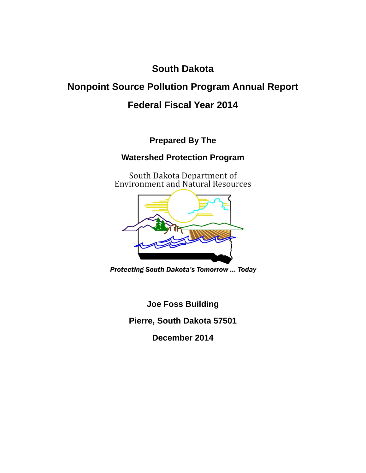**South Dakota** 

# **Nonpoint Source Pollution Program Annual Report**

# **Federal Fiscal Year 2014**

**Prepared By The** 

# **Watershed Protection Program**

South Dakota Department of<br>Environment and Natural Resources



**Protecting South Dakota's Tomorrow ... Today** 

**Joe Foss Building** 

**Pierre, South Dakota 57501** 

**December 2014**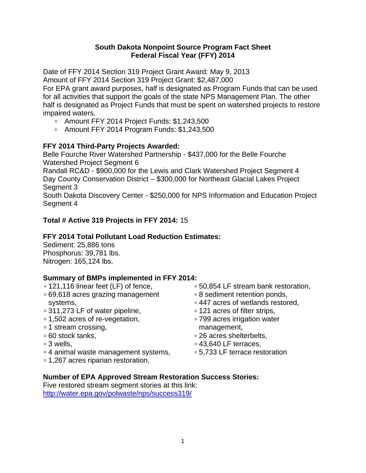#### **South Dakota Nonpoint Source Program Fact Sheet Federal Fiscal Year (FFY) 2014**

Date of FFY 2014 Section 319 Project Grant Award: May 9, 2013

Amount of FFY 2014 Section 319 Project Grant: \$2,487,000

For EPA grant award purposes, half is designated as Program Funds that can be used for all activities that support the goals of the state NPS Management Plan. The other half is designated as Project Funds that must be spent on watershed projects to restore impaired waters.

- Amount FFY 2014 Project Funds: \$1,243,500
- Amount FFY 2014 Program Funds: \$1,243,500

## **FFY 2014 Third-Party Projects Awarded:**

Belle Fourche River Watershed Partnership - \$437,000 for the Belle Fourche Watershed Project Segment 6

Randall RC&D - \$900,000 for the Lewis and Clark Watershed Project Segment 4 Day County Conservation District – \$300,000 for Northeast Glacial Lakes Project Segment 3

South Dakota Discovery Center - \$250,000 for NPS Information and Education Project Segment 4

## **Total # Active 319 Projects in FFY 2014:** 15

## **FFY 2014 Total Pollutant Load Reduction Estimates:**

Sediment: 25,886 tons Phosphorus: 39,781 lbs. Nitrogen: 165,124 lbs.

## **Summary of BMPs implemented in FFY 2014:**

- 121,116 linear feet (LF) of fence,
- 69,618 acres grazing management systems,
- 311,273 LF of water pipeline,
- 1,502 acres of re-vegetation,
- 1 stream crossing,
- 60 stock tanks,
- 3 wells,
- 4 animal waste management systems,
- 1,267 acres riparian restoration,
- 50,854 LF stream bank restoration,
- 8 sediment retention ponds,
- 447 acres of wetlands restored,
- 121 acres of filter strips,
- 799 acres irrigation water management,
- 26 acres shelterbelts,
- 43,640 LF terraces,
- 5,733 LF terrace restoration

## **Number of EPA Approved Stream Restoration Success Stories:**

Five restored stream segment stories at this link: http://water.epa.gov/polwaste/nps/success319/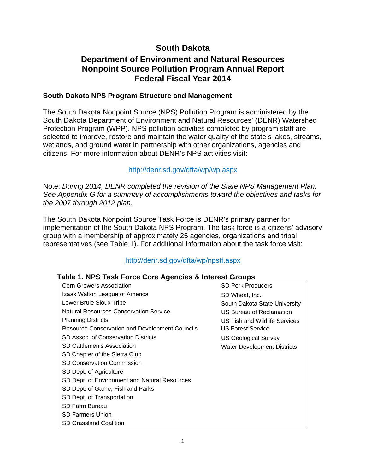# **South Dakota**

## **Department of Environment and Natural Resources Nonpoint Source Pollution Program Annual Report Federal Fiscal Year 2014**

#### **South Dakota NPS Program Structure and Management**

The South Dakota Nonpoint Source (NPS) Pollution Program is administered by the South Dakota Department of Environment and Natural Resources' (DENR) Watershed Protection Program (WPP). NPS pollution activities completed by program staff are selected to improve, restore and maintain the water quality of the state's lakes, streams, wetlands, and ground water in partnership with other organizations, agencies and citizens. For more information about DENR's NPS activities visit:

#### http://denr.sd.gov/dfta/wp/wp.aspx

Note: *During 2014, DENR completed the revision of the State NPS Management Plan. See Appendix G for a summary of accomplishments toward the objectives and tasks for the 2007 through 2012 plan.*

The South Dakota Nonpoint Source Task Force is DENR's primary partner for implementation of the South Dakota NPS Program. The task force is a citizens' advisory group with a membership of approximately 25 agencies, organizations and tribal representatives (see Table 1). For additional information about the task force visit:

## http://denr.sd.gov/dfta/wp/npstf.aspx

| $1$ abic 1. Ni O Tash I VICE COIE Agencies & Interest Oroups |                                    |
|--------------------------------------------------------------|------------------------------------|
| <b>Corn Growers Association</b>                              | <b>SD Pork Producers</b>           |
| Izaak Walton League of America                               | SD Wheat, Inc.                     |
| Lower Brule Sioux Tribe                                      | South Dakota State University      |
| <b>Natural Resources Conservation Service</b>                | US Bureau of Reclamation           |
| <b>Planning Districts</b>                                    | US Fish and Wildlife Services      |
| <b>Resource Conservation and Development Councils</b>        | <b>US Forest Service</b>           |
| SD Assoc. of Conservation Districts                          | <b>US Geological Survey</b>        |
| SD Cattlemen's Association                                   | <b>Water Development Districts</b> |
| SD Chapter of the Sierra Club                                |                                    |
| <b>SD Conservation Commission</b>                            |                                    |
| SD Dept. of Agriculture                                      |                                    |
| SD Dept. of Environment and Natural Resources                |                                    |
| SD Dept. of Game, Fish and Parks                             |                                    |
| SD Dept. of Transportation                                   |                                    |
| SD Farm Bureau                                               |                                    |
| <b>SD Farmers Union</b>                                      |                                    |
| <b>SD Grassland Coalition</b>                                |                                    |

## **Table 1. NPS Task Force Core Agencies & Interest Groups**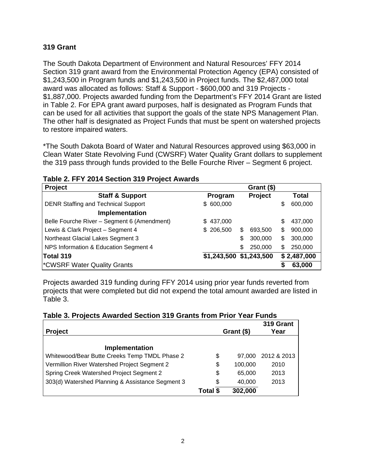### **319 Grant**

The South Dakota Department of Environment and Natural Resources' FFY 2014 Section 319 grant award from the Environmental Protection Agency (EPA) consisted of \$1,243,500 in Program funds and \$1,243,500 in Project funds. The \$2,487,000 total award was allocated as follows: Staff & Support - \$600,000 and 319 Projects - \$1,887,000. Projects awarded funding from the Department's FFY 2014 Grant are listed in Table 2. For EPA grant award purposes, half is designated as Program Funds that can be used for all activities that support the goals of the state NPS Management Plan. The other half is designated as Project Funds that must be spent on watershed projects to restore impaired waters.

\*The South Dakota Board of Water and Natural Resources approved using \$63,000 in Clean Water State Revolving Fund (CWSRF) Water Quality Grant dollars to supplement the 319 pass through funds provided to the Belle Fourche River – Segment 6 project.

| <b>Project</b>                              | Grant (\$)              |    |                |               |
|---------------------------------------------|-------------------------|----|----------------|---------------|
| <b>Staff &amp; Support</b>                  | Program                 |    | <b>Project</b> | <b>Total</b>  |
| <b>DENR Staffing and Technical Support</b>  | \$600,000               |    |                | \$<br>600,000 |
| Implementation                              |                         |    |                |               |
| Belle Fourche River - Segment 6 (Amendment) | \$437,000               |    |                | \$<br>437,000 |
| Lewis & Clark Project - Segment 4           | \$206,500               | S  | 693,500        | \$<br>900,000 |
| Northeast Glacial Lakes Segment 3           |                         | \$ | 300,000        | \$<br>300,000 |
| NPS Information & Education Segment 4       |                         | \$ | 250,000        | \$<br>250,000 |
| Total 319                                   | \$1,243,500 \$1,243,500 |    |                | \$2,487,000   |
| <b>CWSRF Water Quality Grants</b>           |                         |    |                | \$<br>63,000  |

#### **Table 2. FFY 2014 Section 319 Project Awards**

Projects awarded 319 funding during FFY 2014 using prior year funds reverted from projects that were completed but did not expend the total amount awarded are listed in Table 3.

|                                                  |          |            | 319 Grant   |
|--------------------------------------------------|----------|------------|-------------|
| <b>Project</b>                                   |          | Grant (\$) | Year        |
|                                                  |          |            |             |
| <b>Implementation</b>                            |          |            |             |
| Whitewood/Bear Butte Creeks Temp TMDL Phase 2    | \$       | 97.000     | 2012 & 2013 |
| Vermillion River Watershed Project Segment 2     | \$       | 100,000    | 2010        |
| Spring Creek Watershed Project Segment 2         | \$       | 65,000     | 2013        |
| 303(d) Watershed Planning & Assistance Segment 3 | \$       | 40,000     | 2013        |
|                                                  | Total \$ | 302,000    |             |

#### **Table 3. Projects Awarded Section 319 Grants from Prior Year Funds**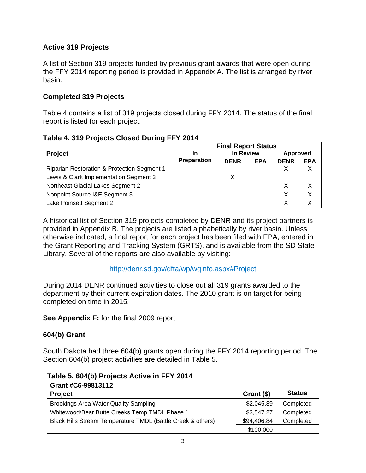## **Active 319 Projects**

A list of Section 319 projects funded by previous grant awards that were open during the FFY 2014 reporting period is provided in Appendix A. The list is arranged by river basin.

## **Completed 319 Projects**

Table 4 contains a list of 319 projects closed during FFY 2014. The status of the final report is listed for each project.

|  |  | Table 4. 319 Projects Closed During FFY 2014 |
|--|--|----------------------------------------------|
|  |  |                                              |

|                                             | <b>Final Report Status</b> |             |            |                 |            |
|---------------------------------------------|----------------------------|-------------|------------|-----------------|------------|
| Project                                     | <b>In</b>                  | In Review   |            | <b>Approved</b> |            |
|                                             | <b>Preparation</b>         | <b>DENR</b> | <b>EPA</b> | <b>DENR</b>     | <b>EPA</b> |
| Riparian Restoration & Protection Segment 1 |                            |             |            |                 |            |
| Lewis & Clark Implementation Segment 3      |                            |             |            |                 |            |
| Northeast Glacial Lakes Segment 2           |                            |             |            |                 | X          |
| Nonpoint Source I&E Segment 3               |                            |             |            |                 | X          |
| Lake Poinsett Segment 2                     |                            |             |            |                 |            |

A historical list of Section 319 projects completed by DENR and its project partners is provided in Appendix B. The projects are listed alphabetically by river basin. Unless otherwise indicated, a final report for each project has been filed with EPA, entered in the Grant Reporting and Tracking System (GRTS), and is available from the SD State Library. Several of the reports are also available by visiting:

## http://denr.sd.gov/dfta/wp/wqinfo.aspx#Project

During 2014 DENR continued activities to close out all 319 grants awarded to the department by their current expiration dates. The 2010 grant is on target for being completed on time in 2015.

**See Appendix F:** for the final 2009 report

## **604(b) Grant**

South Dakota had three 604(b) grants open during the FFY 2014 reporting period. The Section 604(b) project activities are detailed in Table 5.

| Grant #C6-99813112                                          |             |               |
|-------------------------------------------------------------|-------------|---------------|
| <b>Project</b>                                              | Grant $($)$ | <b>Status</b> |
| <b>Brookings Area Water Quality Sampling</b>                | \$2,045.89  | Completed     |
| Whitewood/Bear Butte Creeks Temp TMDL Phase 1               | \$3,547.27  | Completed     |
| Black Hills Stream Temperature TMDL (Battle Creek & others) | \$94,406.84 | Completed     |
|                                                             | \$100,000   |               |

 **Table 5. 604(b) Projects Active in FFY 2014**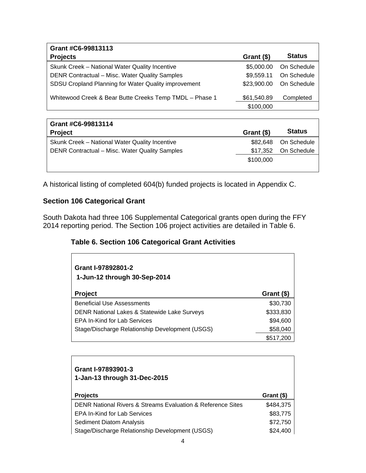| Grant #C6-99813113                                      |             |               |
|---------------------------------------------------------|-------------|---------------|
| <b>Projects</b>                                         | Grant (\$)  | <b>Status</b> |
| Skunk Creek - National Water Quality Incentive          | \$5,000.00  | On Schedule   |
| DENR Contractual - Misc. Water Quality Samples          | \$9,559.11  | On Schedule   |
| SDSU Cropland Planning for Water Quality improvement    | \$23,900.00 | On Schedule   |
| Whitewood Creek & Bear Butte Creeks Temp TMDL - Phase 1 | \$61,540.89 | Completed     |
|                                                         | \$100,000   |               |

| Grant #C6-99813114                             |            |               |
|------------------------------------------------|------------|---------------|
| <b>Project</b>                                 | Grant (\$) | <b>Status</b> |
| Skunk Creek - National Water Quality Incentive | \$82.648   | On Schedule   |
| DENR Contractual - Misc. Water Quality Samples | \$17,352   | On Schedule   |
|                                                | \$100,000  |               |
|                                                |            |               |

A historical listing of completed 604(b) funded projects is located in Appendix C.

### **Section 106 Categorical Grant**

South Dakota had three 106 Supplemental Categorical grants open during the FFY 2014 reporting period. The Section 106 project activities are detailed in Table 6.

## **Table 6. Section 106 Categorical Grant Activities**

| Grant I-97892801-2<br>1-Jun-12 through 30-Sep-2014      |            |
|---------------------------------------------------------|------------|
| <b>Project</b>                                          | Grant (\$) |
| <b>Beneficial Use Assessments</b>                       | \$30,730   |
| <b>DENR National Lakes &amp; Statewide Lake Surveys</b> | \$333,830  |
| <b>EPA In-Kind for Lab Services</b>                     | \$94,600   |
| Stage/Discharge Relationship Development (USGS)         | \$58,040   |
|                                                         | \$517,200  |

| Grant I-97893901-3<br>1-Jan-13 through 31-Dec-2015                         |            |
|----------------------------------------------------------------------------|------------|
| <b>Projects</b>                                                            | Grant (\$) |
| <b>DENR National Rivers &amp; Streams Evaluation &amp; Reference Sites</b> | \$484,375  |
| <b>EPA In-Kind for Lab Services</b>                                        | \$83,775   |
| <b>Sediment Diatom Analysis</b>                                            | \$72,750   |
| Stage/Discharge Relationship Development (USGS)                            | \$24,400   |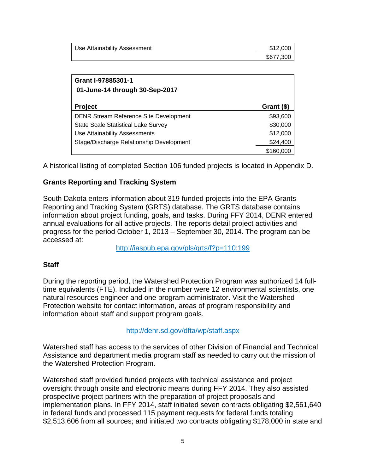| Use Attainability Assessment | \$12,000  |
|------------------------------|-----------|
|                              | \$677,300 |

| Grant I-97885301-1<br>01-June-14 through 30-Sep-2017 |            |
|------------------------------------------------------|------------|
| <b>Project</b>                                       | Grant (\$) |
| <b>DENR Stream Reference Site Development</b>        | \$93,600   |
| <b>State Scale Statistical Lake Survey</b>           | \$30,000   |
| Use Attainability Assessments                        | \$12,000   |
| Stage/Discharge Relationship Development             | \$24,400   |
|                                                      | \$160,000  |

A historical listing of completed Section 106 funded projects is located in Appendix D.

#### **Grants Reporting and Tracking System**

South Dakota enters information about 319 funded projects into the EPA Grants Reporting and Tracking System (GRTS) database. The GRTS database contains information about project funding, goals, and tasks. During FFY 2014, DENR entered annual evaluations for all active projects. The reports detail project activities and progress for the period October 1, 2013 – September 30, 2014. The program can be accessed at:

http://iaspub.epa.gov/pls/grts/f?p=110:199

#### **Staff**

During the reporting period, the Watershed Protection Program was authorized 14 fulltime equivalents (FTE). Included in the number were 12 environmental scientists, one natural resources engineer and one program administrator. Visit the Watershed Protection website for contact information, areas of program responsibility and information about staff and support program goals.

#### http://denr.sd.gov/dfta/wp/staff.aspx

Watershed staff has access to the services of other Division of Financial and Technical Assistance and department media program staff as needed to carry out the mission of the Watershed Protection Program.

Watershed staff provided funded projects with technical assistance and project oversight through onsite and electronic means during FFY 2014. They also assisted prospective project partners with the preparation of project proposals and implementation plans. In FFY 2014, staff initiated seven contracts obligating \$2,561,640 in federal funds and processed 115 payment requests for federal funds totaling \$2,513,606 from all sources; and initiated two contracts obligating \$178,000 in state and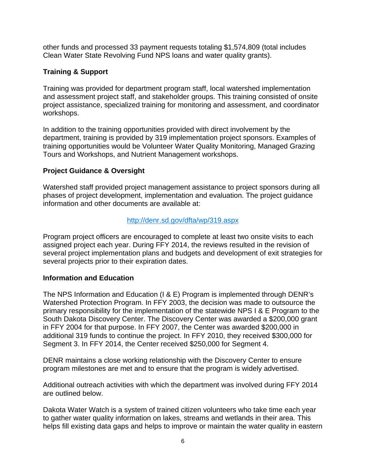other funds and processed 33 payment requests totaling \$1,574,809 (total includes Clean Water State Revolving Fund NPS loans and water quality grants).

### **Training & Support**

Training was provided for department program staff, local watershed implementation and assessment project staff, and stakeholder groups. This training consisted of onsite project assistance, specialized training for monitoring and assessment, and coordinator workshops.

In addition to the training opportunities provided with direct involvement by the department, training is provided by 319 implementation project sponsors. Examples of training opportunities would be Volunteer Water Quality Monitoring, Managed Grazing Tours and Workshops, and Nutrient Management workshops.

### **Project Guidance & Oversight**

Watershed staff provided project management assistance to project sponsors during all phases of project development, implementation and evaluation. The project guidance information and other documents are available at:

#### http://denr.sd.gov/dfta/wp/319.aspx

Program project officers are encouraged to complete at least two onsite visits to each assigned project each year. During FFY 2014, the reviews resulted in the revision of several project implementation plans and budgets and development of exit strategies for several projects prior to their expiration dates.

#### **Information and Education**

The NPS Information and Education (I & E) Program is implemented through DENR's Watershed Protection Program. In FFY 2003, the decision was made to outsource the primary responsibility for the implementation of the statewide NPS I & E Program to the South Dakota Discovery Center. The Discovery Center was awarded a \$200,000 grant in FFY 2004 for that purpose. In FFY 2007, the Center was awarded \$200,000 in additional 319 funds to continue the project. In FFY 2010, they received \$300,000 for Segment 3. In FFY 2014, the Center received \$250,000 for Segment 4.

DENR maintains a close working relationship with the Discovery Center to ensure program milestones are met and to ensure that the program is widely advertised.

Additional outreach activities with which the department was involved during FFY 2014 are outlined below.

Dakota Water Watch is a system of trained citizen volunteers who take time each year to gather water quality information on lakes, streams and wetlands in their area. This helps fill existing data gaps and helps to improve or maintain the water quality in eastern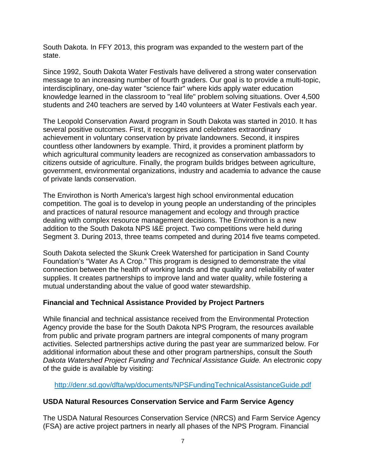South Dakota. In FFY 2013, this program was expanded to the western part of the state.

Since 1992, South Dakota Water Festivals have delivered a strong water conservation message to an increasing number of fourth graders. Our goal is to provide a multi-topic, interdisciplinary, one-day water "science fair" where kids apply water education knowledge learned in the classroom to "real life" problem solving situations. Over 4,500 students and 240 teachers are served by 140 volunteers at Water Festivals each year.

The Leopold Conservation Award program in South Dakota was started in 2010. It has several positive outcomes. First, it recognizes and celebrates extraordinary achievement in voluntary conservation by private landowners. Second, it inspires countless other landowners by example. Third, it provides a prominent platform by which agricultural community leaders are recognized as conservation ambassadors to citizens outside of agriculture. Finally, the program builds bridges between agriculture, government, environmental organizations, industry and academia to advance the cause of private lands conservation.

The Envirothon is North America's largest high school environmental education competition. The goal is to develop in young people an understanding of the principles and practices of natural resource management and ecology and through practice dealing with complex resource management decisions. The Envirothon is a new addition to the South Dakota NPS I&E project. Two competitions were held during Segment 3. During 2013, three teams competed and during 2014 five teams competed.

South Dakota selected the Skunk Creek Watershed for participation in Sand County Foundation's "Water As A Crop." This program is designed to demonstrate the vital connection between the health of working lands and the quality and reliability of water supplies. It creates partnerships to improve land and water quality, while fostering a mutual understanding about the value of good water stewardship.

## **Financial and Technical Assistance Provided by Project Partners**

While financial and technical assistance received from the Environmental Protection Agency provide the base for the South Dakota NPS Program, the resources available from public and private program partners are integral components of many program activities. Selected partnerships active during the past year are summarized below. For additional information about these and other program partnerships, consult the *South Dakota Watershed Project Funding and Technical Assistance Guide.* An electronic copy of the guide is available by visiting:

http://denr.sd.gov/dfta/wp/documents/NPSFundingTechnicalAssistanceGuide.pdf

## **USDA Natural Resources Conservation Service and Farm Service Agency**

The USDA Natural Resources Conservation Service (NRCS) and Farm Service Agency (FSA) are active project partners in nearly all phases of the NPS Program. Financial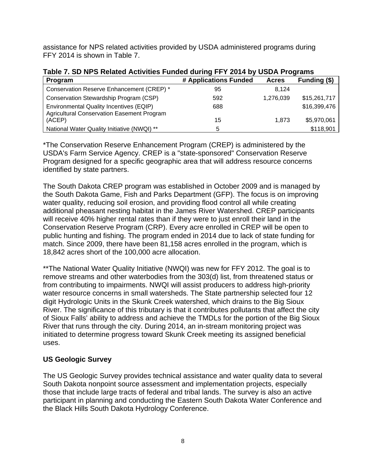assistance for NPS related activities provided by USDA administered programs during FFY 2014 is shown in Table 7.

| 1996 1. 00 M O RUGIU AUTRIUS I GHUU GUI 119 I I I LUTTUY OODA I TUGHUHO                      |                       |              |              |
|----------------------------------------------------------------------------------------------|-----------------------|--------------|--------------|
| Program                                                                                      | # Applications Funded | <b>Acres</b> | Funding (\$) |
| Conservation Reserve Enhancement (CREP) *                                                    | 95                    | 8.124        |              |
| Conservation Stewardship Program (CSP)                                                       | 592                   | 1,276,039    | \$15,261,717 |
| Environmental Quality Incentives (EQIP)<br><b>Agricultural Conservation Easement Program</b> | 688                   |              | \$16,399,476 |
| (ACEP)                                                                                       | 15                    | 1.873        | \$5,970,061  |
| National Water Quality Initiative (NWQI) **                                                  | 5                     |              | \$118,901    |

**Table 7. SD NPS Related Activities Funded during FFY 2014 by USDA Programs** 

\*The Conservation Reserve Enhancement Program (CREP) is administered by the USDA's Farm Service Agency. CREP is a "state-sponsored" Conservation Reserve Program designed for a specific geographic area that will address resource concerns identified by state partners.

The South Dakota CREP program was established in October 2009 and is managed by the South Dakota Game, Fish and Parks Department (GFP). The focus is on improving water quality, reducing soil erosion, and providing flood control all while creating additional pheasant nesting habitat in the James River Watershed. CREP participants will receive 40% higher rental rates than if they were to just enroll their land in the Conservation Reserve Program (CRP). Every acre enrolled in CREP will be open to public hunting and fishing. The program ended in 2014 due to lack of state funding for match. Since 2009, there have been 81,158 acres enrolled in the program, which is 18,842 acres short of the 100,000 acre allocation.

\*\*The National Water Quality Initiative (NWQI) was new for FFY 2012. The goal is to remove streams and other waterbodies from the 303(d) list, from threatened status or from contributing to impairments. NWQI will assist producers to address high-priority water resource concerns in small watersheds. The State partnership selected four 12 digit Hydrologic Units in the Skunk Creek watershed, which drains to the Big Sioux River. The significance of this tributary is that it contributes pollutants that affect the city of Sioux Falls' ability to address and achieve the TMDLs for the portion of the Big Sioux River that runs through the city. During 2014, an in-stream monitoring project was initiated to determine progress toward Skunk Creek meeting its assigned beneficial uses.

## **US Geologic Survey**

The US Geologic Survey provides technical assistance and water quality data to several South Dakota nonpoint source assessment and implementation projects, especially those that include large tracts of federal and tribal lands. The survey is also an active participant in planning and conducting the Eastern South Dakota Water Conference and the Black Hills South Dakota Hydrology Conference.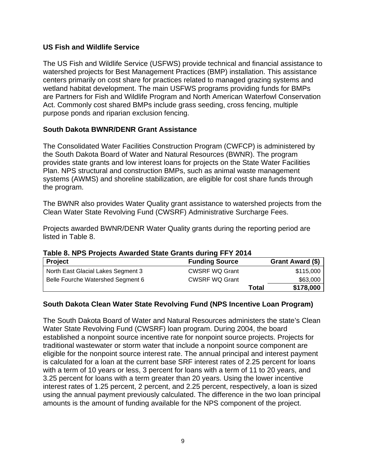#### **US Fish and Wildlife Service**

The US Fish and Wildlife Service (USFWS) provide technical and financial assistance to watershed projects for Best Management Practices (BMP) installation. This assistance centers primarily on cost share for practices related to managed grazing systems and wetland habitat development. The main USFWS programs providing funds for BMPs are Partners for Fish and Wildlife Program and North American Waterfowl Conservation Act. Commonly cost shared BMPs include grass seeding, cross fencing, multiple purpose ponds and riparian exclusion fencing.

### **South Dakota BWNR/DENR Grant Assistance**

The Consolidated Water Facilities Construction Program (CWFCP) is administered by the South Dakota Board of Water and Natural Resources (BWNR). The program provides state grants and low interest loans for projects on the State Water Facilities Plan. NPS structural and construction BMPs, such as animal waste management systems (AWMS) and shoreline stabilization, are eligible for cost share funds through the program.

The BWNR also provides Water Quality grant assistance to watershed projects from the Clean Water State Revolving Fund (CWSRF) Administrative Surcharge Fees.

Projects awarded BWNR/DENR Water Quality grants during the reporting period are listed in Table 8.

| Table 8. NPS Projects Awarded State Grants during FFY 2014 |  |  |  |  |
|------------------------------------------------------------|--|--|--|--|
|------------------------------------------------------------|--|--|--|--|

| Project                            | <b>Funding Source</b> |       | Grant Award (\$) |
|------------------------------------|-----------------------|-------|------------------|
| North East Glacial Lakes Segment 3 | <b>CWSRF WQ Grant</b> |       | \$115,000        |
| Belle Fourche Watershed Segment 6  | <b>CWSRF WQ Grant</b> |       | \$63,000         |
|                                    |                       | Total | \$178,000        |

#### **South Dakota Clean Water State Revolving Fund (NPS Incentive Loan Program)**

The South Dakota Board of Water and Natural Resources administers the state's Clean Water State Revolving Fund (CWSRF) loan program. During 2004, the board established a nonpoint source incentive rate for nonpoint source projects. Projects for traditional wastewater or storm water that include a nonpoint source component are eligible for the nonpoint source interest rate. The annual principal and interest payment is calculated for a loan at the current base SRF interest rates of 2.25 percent for loans with a term of 10 years or less, 3 percent for loans with a term of 11 to 20 years, and 3.25 percent for loans with a term greater than 20 years. Using the lower incentive interest rates of 1.25 percent, 2 percent, and 2.25 percent, respectively, a loan is sized using the annual payment previously calculated. The difference in the two loan principal amounts is the amount of funding available for the NPS component of the project.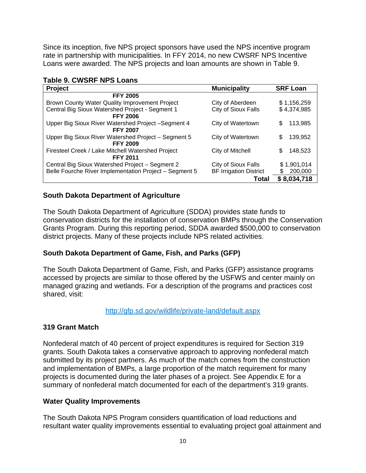Since its inception, five NPS project sponsors have used the NPS incentive program rate in partnership with municipalities. In FFY 2014, no new CWSRF NPS Incentive Loans were awarded. The NPS projects and loan amounts are shown in Table 9.

### **Table 9. CWSRF NPS Loans**

| <b>Project</b>                                         | <b>Municipality</b>           | <b>SRF Loan</b> |
|--------------------------------------------------------|-------------------------------|-----------------|
| <b>FFY 2005</b>                                        |                               |                 |
| Brown County Water Quality Improvement Project         | City of Aberdeen              | \$1,156,259     |
| Central Big Sioux Watershed Project - Segment 1        | City of Sioux Falls           | \$4,374,985     |
| <b>FFY 2006</b>                                        |                               |                 |
| Upper Big Sioux River Watershed Project -Segment 4     | City of Watertown             | 113,985<br>S    |
| <b>FFY 2007</b>                                        |                               |                 |
| Upper Big Sioux River Watershed Project - Segment 5    | City of Watertown             | 139,952<br>\$   |
| <b>FFY 2009</b>                                        |                               |                 |
| Firesteel Creek / Lake Mitchell Watershed Project      | City of Mitchell              | 148,523<br>S    |
| <b>FFY 2011</b>                                        |                               |                 |
| Central Big Sioux Watershed Project - Segment 2        | City of Sioux Falls           | \$1,901,014     |
| Belle Fourche River Implementation Project - Segment 5 | <b>BF Irrigation District</b> | 200,000<br>S    |
|                                                        | Total                         | \$8,034,718     |

## **South Dakota Department of Agriculture**

The South Dakota Department of Agriculture (SDDA) provides state funds to conservation districts for the installation of conservation BMPs through the Conservation Grants Program. During this reporting period, SDDA awarded \$500,000 to conservation district projects. Many of these projects include NPS related activities.

#### **South Dakota Department of Game, Fish, and Parks (GFP)**

The South Dakota Department of Game, Fish, and Parks (GFP) assistance programs accessed by projects are similar to those offered by the USFWS and center mainly on managed grazing and wetlands. For a description of the programs and practices cost shared, visit:

#### http://gfp.sd.gov/wildlife/private-land/default.aspx

#### **319 Grant Match**

Nonfederal match of 40 percent of project expenditures is required for Section 319 grants. South Dakota takes a conservative approach to approving nonfederal match submitted by its project partners. As much of the match comes from the construction and implementation of BMPs, a large proportion of the match requirement for many projects is documented during the later phases of a project. See Appendix E for a summary of nonfederal match documented for each of the department's 319 grants.

#### **Water Quality Improvements**

The South Dakota NPS Program considers quantification of load reductions and resultant water quality improvements essential to evaluating project goal attainment and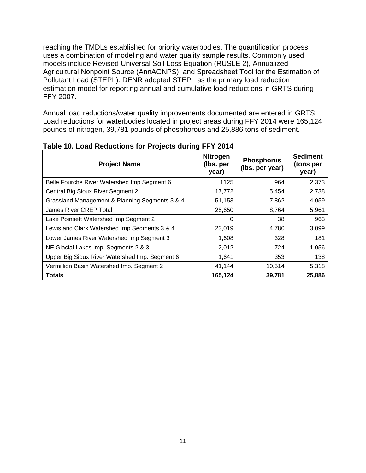reaching the TMDLs established for priority waterbodies. The quantification process uses a combination of modeling and water quality sample results. Commonly used models include Revised Universal Soil Loss Equation (RUSLE 2), Annualized Agricultural Nonpoint Source (AnnAGNPS), and Spreadsheet Tool for the Estimation of Pollutant Load (STEPL). DENR adopted STEPL as the primary load reduction estimation model for reporting annual and cumulative load reductions in GRTS during FFY 2007.

Annual load reductions/water quality improvements documented are entered in GRTS. Load reductions for waterbodies located in project areas during FFY 2014 were 165,124 pounds of nitrogen, 39,781 pounds of phosphorous and 25,886 tons of sediment.

| <b>Project Name</b>                            | <b>Nitrogen</b><br>(lbs. per<br>year) | <b>Phosphorus</b><br>(Ibs. per year) | <b>Sediment</b><br>(tons per<br>year) |
|------------------------------------------------|---------------------------------------|--------------------------------------|---------------------------------------|
| Belle Fourche River Watershed Imp Segment 6    | 1125                                  | 964                                  | 2,373                                 |
| Central Big Sioux River Segment 2              | 17,772                                | 5,454                                | 2,738                                 |
| Grassland Management & Planning Segments 3 & 4 | 51,153                                | 7,862                                | 4,059                                 |
| James River CREP Total                         | 25,650                                | 8,764                                | 5,961                                 |
| Lake Poinsett Watershed Imp Segment 2          | 0                                     | 38                                   | 963                                   |
| Lewis and Clark Watershed Imp Segments 3 & 4   | 23,019                                | 4,780                                | 3,099                                 |
| Lower James River Watershed Imp Segment 3      | 1,608                                 | 328                                  | 181                                   |
| NE Glacial Lakes Imp. Segments 2 & 3           | 2,012                                 | 724                                  | 1,056                                 |
| Upper Big Sioux River Watershed Imp. Segment 6 | 1,641                                 | 353                                  | 138                                   |
| Vermillion Basin Watershed Imp. Segment 2      | 41,144                                | 10,514                               | 5,318                                 |
| <b>Totals</b>                                  | 165,124                               | 39,781                               | 25,886                                |

#### **Table 10. Load Reductions for Projects during FFY 2014**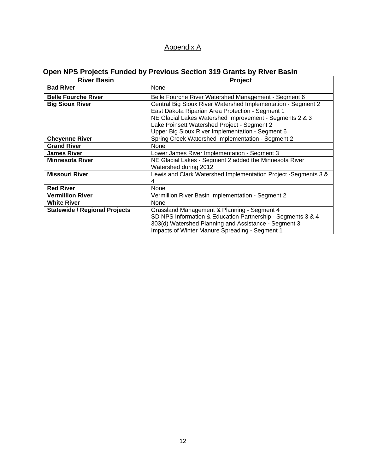## Appendix A

# **Open NPS Projects Funded by Previous Section 319 Grants by River Basin**

| <b>River Basin</b>                   | <b>Project</b>                                                 |  |  |
|--------------------------------------|----------------------------------------------------------------|--|--|
| <b>Bad River</b>                     | None                                                           |  |  |
| <b>Belle Fourche River</b>           | Belle Fourche River Watershed Management - Segment 6           |  |  |
| <b>Big Sioux River</b>               | Central Big Sioux River Watershed Implementation - Segment 2   |  |  |
|                                      | East Dakota Riparian Area Protection - Segment 1               |  |  |
|                                      | NE Glacial Lakes Watershed Improvement - Segments 2 & 3        |  |  |
|                                      | Lake Poinsett Watershed Project - Segment 2                    |  |  |
|                                      | Upper Big Sioux River Implementation - Segment 6               |  |  |
| <b>Cheyenne River</b>                | Spring Creek Watershed Implementation - Segment 2              |  |  |
| <b>Grand River</b>                   | None                                                           |  |  |
| <b>James River</b>                   | Lower James River Implementation - Segment 3                   |  |  |
| <b>Minnesota River</b>               | NE Glacial Lakes - Segment 2 added the Minnesota River         |  |  |
|                                      | Watershed during 2012                                          |  |  |
| <b>Missouri River</b>                | Lewis and Clark Watershed Implementation Project -Segments 3 & |  |  |
|                                      | 4                                                              |  |  |
| <b>Red River</b>                     | None                                                           |  |  |
| <b>Vermillion River</b>              | Vermillion River Basin Implementation - Segment 2              |  |  |
| <b>White River</b>                   | None                                                           |  |  |
| <b>Statewide / Regional Projects</b> | Grassland Management & Planning - Segment 4                    |  |  |
|                                      | SD NPS Information & Education Partnership - Segments 3 & 4    |  |  |
|                                      | 303(d) Watershed Planning and Assistance - Segment 3           |  |  |
|                                      | Impacts of Winter Manure Spreading - Segment 1                 |  |  |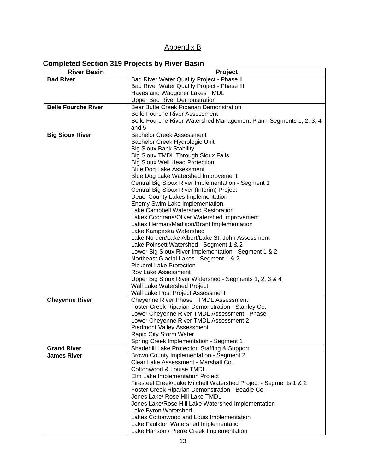## Appendix B

## **Completed Section 319 Projects by River Basin**

| <b>River Basin</b>         | Project                                                                     |
|----------------------------|-----------------------------------------------------------------------------|
| <b>Bad River</b>           | Bad River Water Quality Project - Phase II                                  |
|                            | Bad River Water Quality Project - Phase III                                 |
|                            | Hayes and Waggoner Lakes TMDL                                               |
|                            | <b>Upper Bad River Demonstration</b>                                        |
| <b>Belle Fourche River</b> | Bear Butte Creek Riparian Demonstration                                     |
|                            | <b>Belle Fourche River Assessment</b>                                       |
|                            | Belle Fourche River Watershed Management Plan - Segments 1, 2, 3, 4         |
|                            | and 5                                                                       |
| <b>Big Sioux River</b>     | <b>Bachelor Creek Assessment</b>                                            |
|                            | Bachelor Creek Hydrologic Unit                                              |
|                            | <b>Big Sioux Bank Stability</b>                                             |
|                            | <b>Big Sioux TMDL Through Sioux Falls</b>                                   |
|                            | <b>Big Sioux Well Head Protection</b>                                       |
|                            | <b>Blue Dog Lake Assessment</b>                                             |
|                            | Blue Dog Lake Watershed Improvement                                         |
|                            | Central Big Sioux River Implementation - Segment 1                          |
|                            | Central Big Sioux River (Interim) Project                                   |
|                            | Deuel County Lakes Implementation                                           |
|                            | Enemy Swim Lake Implementation                                              |
|                            | Lake Campbell Watershed Restoration                                         |
|                            | Lakes Cochrane/Oliver Watershed Improvement                                 |
|                            | Lakes Herman/Madison/Brant Implementation                                   |
|                            | Lake Kampeska Watershed                                                     |
|                            | Lake Norden/Lake Albert/Lake St. John Assessment                            |
|                            | Lake Poinsett Watershed - Segment 1 & 2                                     |
|                            | Lower Big Sioux River Implementation - Segment 1 & 2                        |
|                            | Northeast Glacial Lakes - Segment 1 & 2                                     |
|                            | <b>Pickerel Lake Protection</b>                                             |
|                            | Roy Lake Assessment                                                         |
|                            | Upper Big Sioux River Watershed - Segments 1, 2, 3 & 4                      |
|                            | Wall Lake Watershed Project                                                 |
|                            | Wall Lake Post Project Assessment                                           |
| <b>Cheyenne River</b>      | Cheyenne River Phase I TMDL Assessment                                      |
|                            | Foster Creek Riparian Demonstration - Stanley Co.                           |
|                            | Lower Cheyenne River TMDL Assessment - Phase I                              |
|                            | Lower Cheyenne River TMDL Assessment 2<br><b>Piedmont Valley Assessment</b> |
|                            | Rapid City Storm Water                                                      |
|                            | Spring Creek Implementation - Segment 1                                     |
| <b>Grand River</b>         | Shadehill Lake Protection Staffing & Support                                |
| <b>James River</b>         | Brown County Implementation - Segment 2                                     |
|                            | Clear Lake Assessment - Marshall Co.                                        |
|                            | Cottonwood & Louise TMDL                                                    |
|                            | Elm Lake Implementation Project                                             |
|                            | Firesteel Creek/Lake Mitchell Watershed Project - Segments 1 & 2            |
|                            | Foster Creek Riparian Demonstration - Beadle Co.                            |
|                            | Jones Lake/ Rose Hill Lake TMDL                                             |
|                            | Jones Lake/Rose Hill Lake Watershed Implementation                          |
|                            | Lake Byron Watershed                                                        |
|                            | Lakes Cottonwood and Louis Implementation                                   |
|                            | Lake Faulkton Watershed Implementation                                      |
|                            | Lake Hanson / Pierre Creek Implementation                                   |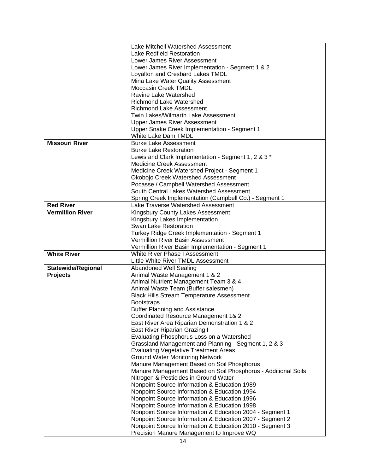|                           | Lake Mitchell Watershed Assessment                            |  |
|---------------------------|---------------------------------------------------------------|--|
|                           | Lake Redfield Restoration                                     |  |
|                           | Lower James River Assessment                                  |  |
|                           | Lower James River Implementation - Segment 1 & 2              |  |
|                           | Loyalton and Cresbard Lakes TMDL                              |  |
|                           | Mina Lake Water Quality Assessment                            |  |
|                           | <b>Moccasin Creek TMDL</b>                                    |  |
|                           | Ravine Lake Watershed                                         |  |
|                           | <b>Richmond Lake Watershed</b>                                |  |
|                           | <b>Richmond Lake Assessment</b>                               |  |
|                           | Twin Lakes/Wilmarth Lake Assessment                           |  |
|                           | <b>Upper James River Assessment</b>                           |  |
|                           | Upper Snake Creek Implementation - Segment 1                  |  |
|                           | White Lake Dam TMDL                                           |  |
| <b>Missouri River</b>     | <b>Burke Lake Assessment</b>                                  |  |
|                           | <b>Burke Lake Restoration</b>                                 |  |
|                           |                                                               |  |
|                           | Lewis and Clark Implementation - Segment 1, 2 & 3 *           |  |
|                           | <b>Medicine Creek Assessment</b>                              |  |
|                           | Medicine Creek Watershed Project - Segment 1                  |  |
|                           | Okobojo Creek Watershed Assessment                            |  |
|                           | Pocasse / Campbell Watershed Assessment                       |  |
|                           | South Central Lakes Watershed Assessment                      |  |
|                           | Spring Creek Implementation (Campbell Co.) - Segment 1        |  |
| <b>Red River</b>          | Lake Traverse Watershed Assessment                            |  |
| <b>Vermillion River</b>   | Kingsbury County Lakes Assessment                             |  |
|                           | Kingsbury Lakes Implementation                                |  |
|                           | Swan Lake Restoration                                         |  |
|                           | Turkey Ridge Creek Implementation - Segment 1                 |  |
|                           | Vermillion River Basin Assessment                             |  |
|                           | Vermillion River Basin Implementation - Segment 1             |  |
| <b>White River</b>        | White River Phase I Assessment                                |  |
|                           | Little White River TMDL Assessment                            |  |
| <b>Statewide/Regional</b> | Abandoned Well Sealing                                        |  |
| <b>Projects</b>           | Animal Waste Management 1 & 2                                 |  |
|                           | Animal Nutrient Management Team 3 & 4                         |  |
|                           | Animal Waste Team (Buffer salesmen)                           |  |
|                           | <b>Black Hills Stream Temperature Assessment</b>              |  |
|                           | <b>Bootstraps</b>                                             |  |
|                           | <b>Buffer Planning and Assistance</b>                         |  |
|                           | Coordinated Resource Management 1& 2                          |  |
|                           | East River Area Riparian Demonstration 1 & 2                  |  |
|                           | East River Riparian Grazing I                                 |  |
|                           | Evaluating Phosphorus Loss on a Watershed                     |  |
|                           | Grassland Management and Planning - Segment 1, 2 & 3          |  |
|                           | <b>Evaluating Vegetative Treatment Areas</b>                  |  |
|                           | <b>Ground Water Monitoring Network</b>                        |  |
|                           | Manure Management Based on Soil Phosphorus                    |  |
|                           | Manure Management Based on Soil Phosphorus - Additional Soils |  |
|                           | Nitrogen & Pesticides in Ground Water                         |  |
|                           | Nonpoint Source Information & Education 1989                  |  |
|                           | Nonpoint Source Information & Education 1994                  |  |
|                           | Nonpoint Source Information & Education 1996                  |  |
|                           | Nonpoint Source Information & Education 1998                  |  |
|                           | Nonpoint Source Information & Education 2004 - Segment 1      |  |
|                           | Nonpoint Source Information & Education 2007 - Segment 2      |  |
|                           | Nonpoint Source Information & Education 2010 - Segment 3      |  |
|                           | Precision Manure Management to Improve WQ                     |  |
|                           |                                                               |  |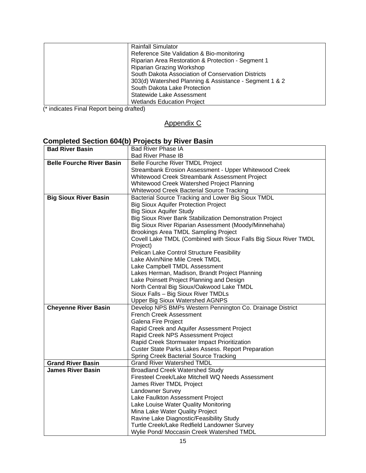| <b>Rainfall Simulator</b><br>Reference Site Validation & Bio-monitoring |
|-------------------------------------------------------------------------|
| Riparian Area Restoration & Protection - Segment 1                      |
| Riparian Grazing Workshop                                               |
| South Dakota Association of Conservation Districts                      |
| 303(d) Watershed Planning & Assistance - Segment 1 & 2                  |
| South Dakota Lake Protection                                            |
| Statewide Lake Assessment                                               |
| <b>Wetlands Education Project</b>                                       |
|                                                                         |

(\* indicates Final Report being drafted)

## Appendix C

# **Completed Section 604(b) Projects by River Basin**

| <b>Bad River Basin</b>           | <b>Bad River Phase IA</b>                                        |  |
|----------------------------------|------------------------------------------------------------------|--|
|                                  | <b>Bad River Phase IB</b>                                        |  |
| <b>Belle Fourche River Basin</b> | Belle Fourche River TMDL Project                                 |  |
|                                  | Streambank Erosion Assessment - Upper Whitewood Creek            |  |
|                                  | Whitewood Creek Streambank Assessment Project                    |  |
|                                  | Whitewood Creek Watershed Project Planning                       |  |
|                                  | Whitewood Creek Bacterial Source Tracking                        |  |
| <b>Big Sioux River Basin</b>     | Bacterial Source Tracking and Lower Big Sioux TMDL               |  |
|                                  | <b>Big Sioux Aquifer Protection Project</b>                      |  |
|                                  | <b>Big Sioux Aquifer Study</b>                                   |  |
|                                  | <b>Big Sioux River Bank Stabilization Demonstration Project</b>  |  |
|                                  | Big Sioux River Riparian Assessment (Moody/Minnehaha)            |  |
|                                  | Brookings Area TMDL Sampling Project                             |  |
|                                  | Covell Lake TMDL (Combined with Sioux Falls Big Sioux River TMDL |  |
|                                  | Project)                                                         |  |
|                                  | Pelican Lake Control Structure Feasibility                       |  |
|                                  | Lake Alvin/Nine Mile Creek TMDL                                  |  |
|                                  | Lake Campbell TMDL Assessment                                    |  |
|                                  | Lakes Herman, Madison, Brandt Project Planning                   |  |
|                                  | Lake Poinsett Project Planning and Design                        |  |
|                                  | North Central Big Sioux/Oakwood Lake TMDL                        |  |
|                                  | Sioux Falls - Big Sioux River TMDLs                              |  |
|                                  | <b>Upper Big Sioux Watershed AGNPS</b>                           |  |
| <b>Cheyenne River Basin</b>      | Develop NPS BMPs Western Pennington Co. Drainage District        |  |
|                                  | <b>French Creek Assessment</b>                                   |  |
|                                  | Galena Fire Project                                              |  |
|                                  | Rapid Creek and Aquifer Assessment Project                       |  |
|                                  | Rapid Creek NPS Assessment Project                               |  |
|                                  | Rapid Creek Stormwater Impact Prioritization                     |  |
|                                  | <b>Custer State Parks Lakes Assess. Report Preparation</b>       |  |
|                                  | <b>Spring Creek Bacterial Source Tracking</b>                    |  |
| <b>Grand River Basin</b>         | <b>Grand River Watershed TMDL</b>                                |  |
| <b>James River Basin</b>         | <b>Broadland Creek Watershed Study</b>                           |  |
|                                  | Firesteel Creek/Lake Mitchell WQ Needs Assessment                |  |
|                                  | James River TMDL Project                                         |  |
|                                  | Landowner Survey                                                 |  |
|                                  | Lake Faulkton Assessment Project                                 |  |
|                                  | Lake Louise Water Quality Monitoring                             |  |
|                                  | Mina Lake Water Quality Project                                  |  |
|                                  | Ravine Lake Diagnostic/Feasibility Study                         |  |
|                                  | Turtle Creek/Lake Redfield Landowner Survey                      |  |
|                                  | Wylie Pond/ Moccasin Creek Watershed TMDL                        |  |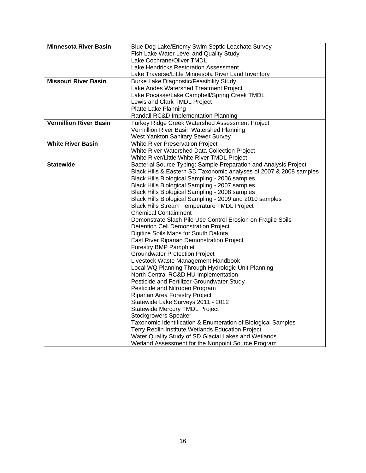| <b>Minnesota River Basin</b>  | Blue Dog Lake/Enemy Swim Septic Leachate Survey                                   |  |
|-------------------------------|-----------------------------------------------------------------------------------|--|
|                               | Fish Lake Water Level and Quality Study                                           |  |
|                               | Lake Cochrane/Oliver TMDL                                                         |  |
|                               | Lake Hendricks Restoration Assessment                                             |  |
|                               | Lake Traverse/Little Minnesota River Land Inventory                               |  |
| <b>Missouri River Basin</b>   | <b>Burke Lake Diagnostic/Feasibility Study</b>                                    |  |
|                               | Lake Andes Watershed Treatment Project                                            |  |
|                               | Lake Pocasse/Lake Campbell/Spring Creek TMDL                                      |  |
|                               | Lewis and Clark TMDL Project                                                      |  |
|                               | Platte Lake Planning                                                              |  |
|                               | Randall RC&D Implementation Planning                                              |  |
| <b>Vermillion River Basin</b> | Turkey Ridge Creek Watershed Assessment Project                                   |  |
|                               | Vermillion River Basin Watershed Planning                                         |  |
|                               | West Yankton Sanitary Sewer Survey                                                |  |
| <b>White River Basin</b>      | White River Preservation Project                                                  |  |
|                               | White River Watershed Data Collection Project                                     |  |
|                               | White River/Little White River TMDL Project                                       |  |
| <b>Statewide</b>              | Bacterial Source Typing: Sample Preparation and Analysis Project                  |  |
|                               | Black Hills & Eastern SD Taxonomic analyses of 2007 & 2008 samples                |  |
|                               | Black Hills Biological Sampling - 2006 samples                                    |  |
|                               | Black Hills Biological Sampling - 2007 samples                                    |  |
|                               | Black Hills Biological Sampling - 2008 samples                                    |  |
|                               | Black Hills Biological Sampling - 2009 and 2010 samples                           |  |
|                               | <b>Black Hills Stream Temperature TMDL Project</b><br><b>Chemical Containment</b> |  |
|                               | Demonstrate Slash Pile Use Control Erosion on Fragile Soils                       |  |
|                               |                                                                                   |  |
|                               | Digitize Soils Maps for South Dakota                                              |  |
|                               | <b>Detention Cell Demonstration Project</b>                                       |  |
|                               | East River Riparian Demonstration Project<br><b>Forestry BMP Pamphlet</b>         |  |
|                               |                                                                                   |  |
|                               | <b>Groundwater Protection Project</b><br>Livestock Waste Management Handbook      |  |
|                               | Local WQ Planning Through Hydrologic Unit Planning                                |  |
|                               | North Central RC&D HU Implementation                                              |  |
|                               | Pesticide and Fertilizer Groundwater Study                                        |  |
|                               | Pesticide and Nitrogen Program                                                    |  |
|                               | Riparian Area Forestry Project                                                    |  |
|                               | Statewide Lake Surveys 2011 - 2012                                                |  |
|                               | Statewide Mercury TMDL Project                                                    |  |
|                               | <b>Stockgrowers Speaker</b>                                                       |  |
|                               | Taxonomic Identification & Enumeration of Biological Samples                      |  |
|                               | Terry Redlin Institute Wetlands Education Project                                 |  |
|                               | Water Quality Study of SD Glacial Lakes and Wetlands                              |  |
|                               | Wetland Assessment for the Nonpoint Source Program                                |  |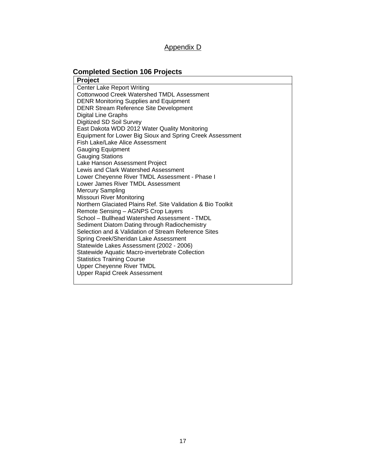## Appendix D

# **Completed Section 106 Projects**

| <b>Project</b>                                               |
|--------------------------------------------------------------|
| <b>Center Lake Report Writing</b>                            |
| Cottonwood Creek Watershed TMDL Assessment                   |
| <b>DENR Monitoring Supplies and Equipment</b>                |
| <b>DENR Stream Reference Site Development</b>                |
| Digital Line Graphs                                          |
| Digitized SD Soil Survey                                     |
| East Dakota WDD 2012 Water Quality Monitoring                |
| Equipment for Lower Big Sioux and Spring Creek Assessment    |
| Fish Lake/Lake Alice Assessment                              |
| <b>Gauging Equipment</b>                                     |
| <b>Gauging Stations</b>                                      |
| Lake Hanson Assessment Project                               |
| Lewis and Clark Watershed Assessment                         |
| Lower Cheyenne River TMDL Assessment - Phase I               |
| Lower James River TMDL Assessment                            |
| <b>Mercury Sampling</b>                                      |
| Missouri River Monitoring                                    |
| Northern Glaciated Plains Ref. Site Validation & Bio Toolkit |
| Remote Sensing - AGNPS Crop Layers                           |
| School - Bullhead Watershed Assessment - TMDL                |
| Sediment Diatom Dating through Radiochemistry                |
| Selection and & Validation of Stream Reference Sites         |
| Spring Creek/Sheridan Lake Assessment                        |
| Statewide Lakes Assessment (2002 - 2006)                     |
| Statewide Aquatic Macro-invertebrate Collection              |
| <b>Statistics Training Course</b>                            |
| <b>Upper Cheyenne River TMDL</b>                             |
| <b>Upper Rapid Creek Assessment</b>                          |
|                                                              |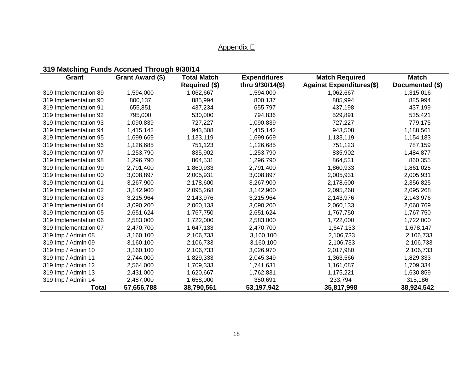# Appendix E

# **319 Matching Funds Accrued Through 9/30/14**

| Grant                 | Grant Award (\$) | <b>Total Match</b> | <b>Expenditures</b> | <b>Match Required</b>           |                 |  |
|-----------------------|------------------|--------------------|---------------------|---------------------------------|-----------------|--|
|                       |                  | Required (\$)      | thru 9/30/14(\$)    | <b>Against Expenditures(\$)</b> | Documented (\$) |  |
| 319 Implementation 89 | 1,594,000        | 1,062,667          | 1,594,000           | 1,062,667                       | 1,315,016       |  |
| 319 Implementation 90 | 800,137          | 885,994            | 800,137             | 885,994                         | 885,994         |  |
| 319 Implementation 91 | 655,851          | 437,234            | 655,797             | 437,198                         | 437,199         |  |
| 319 Implementation 92 | 795,000          | 530,000            | 794,836             | 529,891                         | 535,421         |  |
| 319 Implementation 93 | 1,090,839        | 727,227            | 1,090,839           | 727,227                         | 779,175         |  |
| 319 Implementation 94 | 1,415,142        | 943,508            | 1,415,142           | 943,508                         | 1,188,561       |  |
| 319 Implementation 95 | 1,699,669        | 1,133,119          | 1,699,669           | 1,133,119                       | 1,154,183       |  |
| 319 Implementation 96 | 1,126,685        | 751,123            | 1,126,685           | 751,123                         | 787,159         |  |
| 319 Implementation 97 | 1,253,790        | 835,902            | 1,253,790           | 835,902                         | 1,484,877       |  |
| 319 Implementation 98 | 1,296,790        | 864,531            | 1,296,790           | 864,531                         | 860,355         |  |
| 319 Implementation 99 | 2,791,400        | 1,860,933          | 2,791,400           | 1,860,933                       | 1,861,025       |  |
| 319 Implementation 00 | 3,008,897        | 2,005,931          | 3,008,897           | 2,005,931                       | 2,005,931       |  |
| 319 Implementation 01 | 3,267,900        | 2,178,600          | 3,267,900           | 2,178,600                       | 2,356,825       |  |
| 319 Implementation 02 | 3,142,900        | 2,095,268          | 3,142,900           | 2,095,268                       | 2,095,268       |  |
| 319 Implementation 03 | 3,215,964        | 2,143,976          | 3,215,964           | 2,143,976                       | 2,143,976       |  |
| 319 Implementation 04 | 3,090,200        | 2,060,133          | 3,090,200           | 2,060,133                       | 2,060,769       |  |
| 319 Implementation 05 | 2,651,624        | 1,767,750          | 2,651,624           | 1,767,750                       | 1,767,750       |  |
| 319 Implementation 06 | 2,583,000        | 1,722,000          | 2,583,000           | 1,722,000                       | 1,722,000       |  |
| 319 Implementation 07 | 2,470,700        | 1,647,133          | 2,470,700           | 1,647,133                       | 1,678,147       |  |
| 319 Imp / Admin 08    | 3,160,100        | 2,106,733          | 3,160,100           | 2,106,733                       | 2,106,733       |  |
| 319 Imp / Admin 09    | 3,160,100        | 2,106,733          | 3,160,100           | 2,106,733                       | 2,106,733       |  |
| 319 Imp / Admin 10    | 3,160,100        | 2,106,733          | 3,026,970           | 2,017,980                       | 2,106,733       |  |
| 319 Imp / Admin 11    | 2,744,000        | 1,829,333          | 2,045,349           | 1,363,566                       | 1,829,333       |  |
| 319 Imp / Admin 12    | 2,564,000        | 1,709,333          | 1,741,631           | 1,161,087                       | 1,709,334       |  |
| 319 Imp / Admin 13    | 2,431,000        | 1,620,667          | 1,762,831           | 1,175,221                       | 1,630,859       |  |
| 319 Imp / Admin 14    | 2,487,000        | 1,658,000          | 350,691             | 233,794                         | 315,186         |  |
| <b>Total</b>          | 57,656,788       | 38,790,561         | 53,197,942          | 35,817,998                      | 38,924,542      |  |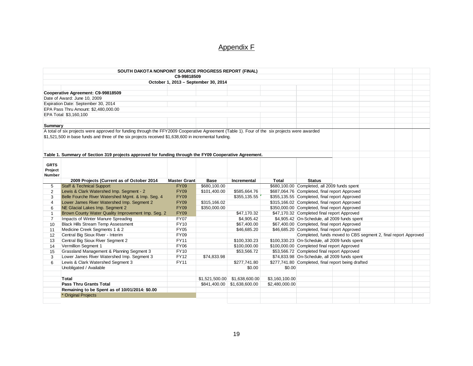## Appendix F

| C9-99818509<br>October 1, 2013 - September 30, 2014<br>Cooperative Agreement: C9-99818509<br>Date of Award: June 10, 2009<br>Expiration Date: September 30, 2014<br>EPA Pass Thru Amount: \$2,480,000.00<br>EPA Total: \$3,160,100<br>Summary<br>A total of six projects were approved for funding through the FFY2009 Cooperative Agreement (Table 1). Four of the six projects were awarded<br>\$1,521,500 in base funds and three of the six projects received \$1,638,600 in incremental funding.<br>Table 1. Summary of Section 319 projects approved for funding through the FY09 Cooperative Agreement.<br><b>GRTS</b><br>Project<br>Number<br>2009 Projects (Current as of October 2014<br><b>Master Grant</b><br><b>Base</b><br>Incremental<br>Total<br><b>Status</b><br><b>Staff &amp; Technical Support</b><br>\$680,100.00 Completed, all 2009 funds spent<br><b>FY09</b><br>\$680,100.00<br>5<br>Lewis & Clark Watershed Imp. Segment - 2<br>\$687,064.76 Completed, final report Approved<br><b>FY09</b><br>\$101,400.00<br>\$585,664.76<br>2<br>Belle Fourche River Watershed Mgmt. & Imp. Seg. 4<br>\$355,135.55 Completed, final report Approved<br><b>FY09</b><br>\$355, 135.55<br>3<br>Lower James River Watershed Imp. Segment 2<br><b>FY09</b><br>\$315,166.02<br>\$315,166.02 Completed, final report Approved<br>4<br>NE Glacial Lakes Imp. Segment 2<br>\$350,000.00 Completed, final report Approved<br><b>FY09</b><br>\$350,000.00<br>6<br>Brown County Water Quality Improvement Imp. Seg. 2<br>\$47,170.32 Completed final report Approved<br><b>FY09</b><br>\$47,170.32<br>Impacts of Winter Manure Spreading<br>\$4,905.42<br>\$4,905.42 On-Schedule, all 2009 funds spent<br><b>FY07</b><br>$\overline{7}$<br><b>Black Hills Stream Temp Assessment</b><br><b>FY10</b><br>\$67,400.00 Completed, final report Approved<br>\$67,400.00<br>10 <sup>1</sup><br>Medicine Creek Segments 1 & 2<br><b>FY05</b><br>\$46,685.20 Completed, final report Approved<br>\$46,685.20<br>11<br>Central Big Sioux River - Interim<br>Completed, funds moved to CBS segment 2, final report Approved<br><b>FY09</b><br>12<br>Central Big Sioux River Segment 2<br><b>FY11</b><br>\$100,330.23<br>\$100,330.23 On-Schedule, all 2009 funds spent<br>13<br>Vermillion Segment 1<br>\$100,000.00 Completed final report Approved<br><b>FY06</b><br>\$100,000.00<br>14<br>Grassland Management & Planning Segment 3<br><b>FY10</b><br>\$53,566.72 Completed final report Approved<br>\$53,566.72<br>15<br>Lower James River Watershed Imp. Segment 3<br>\$74,833.98 On-Schedule, all 2009 funds spent<br><b>FY12</b><br>\$74,833.98<br>3<br>Lewis & Clark Watershed Segment 3<br><b>FY11</b><br>\$277,741.80 Completed, final report being drafted<br>\$277,741.80<br>6<br>Unobligated / Available<br>\$0.00<br>\$0.00<br>Total<br>\$1,521,500.00 \$1,638,600.00<br>\$3,160,100.00<br><b>Pass Thru Grants Total</b><br>\$841,400.00 \$1,638,600.00<br>\$2,480,000.00<br>Remaining to be Spent as of 10/01/2014: \$0.00<br>* Original Projects |  | SOUTH DAKOTA NONPOINT SOURCE PROGRESS REPORT (FINAL) |  |  |  |  |  |  |  |
|----------------------------------------------------------------------------------------------------------------------------------------------------------------------------------------------------------------------------------------------------------------------------------------------------------------------------------------------------------------------------------------------------------------------------------------------------------------------------------------------------------------------------------------------------------------------------------------------------------------------------------------------------------------------------------------------------------------------------------------------------------------------------------------------------------------------------------------------------------------------------------------------------------------------------------------------------------------------------------------------------------------------------------------------------------------------------------------------------------------------------------------------------------------------------------------------------------------------------------------------------------------------------------------------------------------------------------------------------------------------------------------------------------------------------------------------------------------------------------------------------------------------------------------------------------------------------------------------------------------------------------------------------------------------------------------------------------------------------------------------------------------------------------------------------------------------------------------------------------------------------------------------------------------------------------------------------------------------------------------------------------------------------------------------------------------------------------------------------------------------------------------------------------------------------------------------------------------------------------------------------------------------------------------------------------------------------------------------------------------------------------------------------------------------------------------------------------------------------------------------------------------------------------------------------------------------------------------------------------------------------------------------------------------------------------------------------------------------------------------------------------------------------------------------------------------------------------------------------------------------------------------------------------------------------------------------------------------------------------------------------------------------------------------------------------|--|------------------------------------------------------|--|--|--|--|--|--|--|
|                                                                                                                                                                                                                                                                                                                                                                                                                                                                                                                                                                                                                                                                                                                                                                                                                                                                                                                                                                                                                                                                                                                                                                                                                                                                                                                                                                                                                                                                                                                                                                                                                                                                                                                                                                                                                                                                                                                                                                                                                                                                                                                                                                                                                                                                                                                                                                                                                                                                                                                                                                                                                                                                                                                                                                                                                                                                                                                                                                                                                                                          |  |                                                      |  |  |  |  |  |  |  |
|                                                                                                                                                                                                                                                                                                                                                                                                                                                                                                                                                                                                                                                                                                                                                                                                                                                                                                                                                                                                                                                                                                                                                                                                                                                                                                                                                                                                                                                                                                                                                                                                                                                                                                                                                                                                                                                                                                                                                                                                                                                                                                                                                                                                                                                                                                                                                                                                                                                                                                                                                                                                                                                                                                                                                                                                                                                                                                                                                                                                                                                          |  |                                                      |  |  |  |  |  |  |  |
|                                                                                                                                                                                                                                                                                                                                                                                                                                                                                                                                                                                                                                                                                                                                                                                                                                                                                                                                                                                                                                                                                                                                                                                                                                                                                                                                                                                                                                                                                                                                                                                                                                                                                                                                                                                                                                                                                                                                                                                                                                                                                                                                                                                                                                                                                                                                                                                                                                                                                                                                                                                                                                                                                                                                                                                                                                                                                                                                                                                                                                                          |  |                                                      |  |  |  |  |  |  |  |
|                                                                                                                                                                                                                                                                                                                                                                                                                                                                                                                                                                                                                                                                                                                                                                                                                                                                                                                                                                                                                                                                                                                                                                                                                                                                                                                                                                                                                                                                                                                                                                                                                                                                                                                                                                                                                                                                                                                                                                                                                                                                                                                                                                                                                                                                                                                                                                                                                                                                                                                                                                                                                                                                                                                                                                                                                                                                                                                                                                                                                                                          |  |                                                      |  |  |  |  |  |  |  |
|                                                                                                                                                                                                                                                                                                                                                                                                                                                                                                                                                                                                                                                                                                                                                                                                                                                                                                                                                                                                                                                                                                                                                                                                                                                                                                                                                                                                                                                                                                                                                                                                                                                                                                                                                                                                                                                                                                                                                                                                                                                                                                                                                                                                                                                                                                                                                                                                                                                                                                                                                                                                                                                                                                                                                                                                                                                                                                                                                                                                                                                          |  |                                                      |  |  |  |  |  |  |  |
|                                                                                                                                                                                                                                                                                                                                                                                                                                                                                                                                                                                                                                                                                                                                                                                                                                                                                                                                                                                                                                                                                                                                                                                                                                                                                                                                                                                                                                                                                                                                                                                                                                                                                                                                                                                                                                                                                                                                                                                                                                                                                                                                                                                                                                                                                                                                                                                                                                                                                                                                                                                                                                                                                                                                                                                                                                                                                                                                                                                                                                                          |  |                                                      |  |  |  |  |  |  |  |
|                                                                                                                                                                                                                                                                                                                                                                                                                                                                                                                                                                                                                                                                                                                                                                                                                                                                                                                                                                                                                                                                                                                                                                                                                                                                                                                                                                                                                                                                                                                                                                                                                                                                                                                                                                                                                                                                                                                                                                                                                                                                                                                                                                                                                                                                                                                                                                                                                                                                                                                                                                                                                                                                                                                                                                                                                                                                                                                                                                                                                                                          |  |                                                      |  |  |  |  |  |  |  |
|                                                                                                                                                                                                                                                                                                                                                                                                                                                                                                                                                                                                                                                                                                                                                                                                                                                                                                                                                                                                                                                                                                                                                                                                                                                                                                                                                                                                                                                                                                                                                                                                                                                                                                                                                                                                                                                                                                                                                                                                                                                                                                                                                                                                                                                                                                                                                                                                                                                                                                                                                                                                                                                                                                                                                                                                                                                                                                                                                                                                                                                          |  |                                                      |  |  |  |  |  |  |  |
|                                                                                                                                                                                                                                                                                                                                                                                                                                                                                                                                                                                                                                                                                                                                                                                                                                                                                                                                                                                                                                                                                                                                                                                                                                                                                                                                                                                                                                                                                                                                                                                                                                                                                                                                                                                                                                                                                                                                                                                                                                                                                                                                                                                                                                                                                                                                                                                                                                                                                                                                                                                                                                                                                                                                                                                                                                                                                                                                                                                                                                                          |  |                                                      |  |  |  |  |  |  |  |
|                                                                                                                                                                                                                                                                                                                                                                                                                                                                                                                                                                                                                                                                                                                                                                                                                                                                                                                                                                                                                                                                                                                                                                                                                                                                                                                                                                                                                                                                                                                                                                                                                                                                                                                                                                                                                                                                                                                                                                                                                                                                                                                                                                                                                                                                                                                                                                                                                                                                                                                                                                                                                                                                                                                                                                                                                                                                                                                                                                                                                                                          |  |                                                      |  |  |  |  |  |  |  |
|                                                                                                                                                                                                                                                                                                                                                                                                                                                                                                                                                                                                                                                                                                                                                                                                                                                                                                                                                                                                                                                                                                                                                                                                                                                                                                                                                                                                                                                                                                                                                                                                                                                                                                                                                                                                                                                                                                                                                                                                                                                                                                                                                                                                                                                                                                                                                                                                                                                                                                                                                                                                                                                                                                                                                                                                                                                                                                                                                                                                                                                          |  |                                                      |  |  |  |  |  |  |  |
|                                                                                                                                                                                                                                                                                                                                                                                                                                                                                                                                                                                                                                                                                                                                                                                                                                                                                                                                                                                                                                                                                                                                                                                                                                                                                                                                                                                                                                                                                                                                                                                                                                                                                                                                                                                                                                                                                                                                                                                                                                                                                                                                                                                                                                                                                                                                                                                                                                                                                                                                                                                                                                                                                                                                                                                                                                                                                                                                                                                                                                                          |  |                                                      |  |  |  |  |  |  |  |
|                                                                                                                                                                                                                                                                                                                                                                                                                                                                                                                                                                                                                                                                                                                                                                                                                                                                                                                                                                                                                                                                                                                                                                                                                                                                                                                                                                                                                                                                                                                                                                                                                                                                                                                                                                                                                                                                                                                                                                                                                                                                                                                                                                                                                                                                                                                                                                                                                                                                                                                                                                                                                                                                                                                                                                                                                                                                                                                                                                                                                                                          |  |                                                      |  |  |  |  |  |  |  |
|                                                                                                                                                                                                                                                                                                                                                                                                                                                                                                                                                                                                                                                                                                                                                                                                                                                                                                                                                                                                                                                                                                                                                                                                                                                                                                                                                                                                                                                                                                                                                                                                                                                                                                                                                                                                                                                                                                                                                                                                                                                                                                                                                                                                                                                                                                                                                                                                                                                                                                                                                                                                                                                                                                                                                                                                                                                                                                                                                                                                                                                          |  |                                                      |  |  |  |  |  |  |  |
|                                                                                                                                                                                                                                                                                                                                                                                                                                                                                                                                                                                                                                                                                                                                                                                                                                                                                                                                                                                                                                                                                                                                                                                                                                                                                                                                                                                                                                                                                                                                                                                                                                                                                                                                                                                                                                                                                                                                                                                                                                                                                                                                                                                                                                                                                                                                                                                                                                                                                                                                                                                                                                                                                                                                                                                                                                                                                                                                                                                                                                                          |  |                                                      |  |  |  |  |  |  |  |
|                                                                                                                                                                                                                                                                                                                                                                                                                                                                                                                                                                                                                                                                                                                                                                                                                                                                                                                                                                                                                                                                                                                                                                                                                                                                                                                                                                                                                                                                                                                                                                                                                                                                                                                                                                                                                                                                                                                                                                                                                                                                                                                                                                                                                                                                                                                                                                                                                                                                                                                                                                                                                                                                                                                                                                                                                                                                                                                                                                                                                                                          |  |                                                      |  |  |  |  |  |  |  |
|                                                                                                                                                                                                                                                                                                                                                                                                                                                                                                                                                                                                                                                                                                                                                                                                                                                                                                                                                                                                                                                                                                                                                                                                                                                                                                                                                                                                                                                                                                                                                                                                                                                                                                                                                                                                                                                                                                                                                                                                                                                                                                                                                                                                                                                                                                                                                                                                                                                                                                                                                                                                                                                                                                                                                                                                                                                                                                                                                                                                                                                          |  |                                                      |  |  |  |  |  |  |  |
|                                                                                                                                                                                                                                                                                                                                                                                                                                                                                                                                                                                                                                                                                                                                                                                                                                                                                                                                                                                                                                                                                                                                                                                                                                                                                                                                                                                                                                                                                                                                                                                                                                                                                                                                                                                                                                                                                                                                                                                                                                                                                                                                                                                                                                                                                                                                                                                                                                                                                                                                                                                                                                                                                                                                                                                                                                                                                                                                                                                                                                                          |  |                                                      |  |  |  |  |  |  |  |
|                                                                                                                                                                                                                                                                                                                                                                                                                                                                                                                                                                                                                                                                                                                                                                                                                                                                                                                                                                                                                                                                                                                                                                                                                                                                                                                                                                                                                                                                                                                                                                                                                                                                                                                                                                                                                                                                                                                                                                                                                                                                                                                                                                                                                                                                                                                                                                                                                                                                                                                                                                                                                                                                                                                                                                                                                                                                                                                                                                                                                                                          |  |                                                      |  |  |  |  |  |  |  |
|                                                                                                                                                                                                                                                                                                                                                                                                                                                                                                                                                                                                                                                                                                                                                                                                                                                                                                                                                                                                                                                                                                                                                                                                                                                                                                                                                                                                                                                                                                                                                                                                                                                                                                                                                                                                                                                                                                                                                                                                                                                                                                                                                                                                                                                                                                                                                                                                                                                                                                                                                                                                                                                                                                                                                                                                                                                                                                                                                                                                                                                          |  |                                                      |  |  |  |  |  |  |  |
|                                                                                                                                                                                                                                                                                                                                                                                                                                                                                                                                                                                                                                                                                                                                                                                                                                                                                                                                                                                                                                                                                                                                                                                                                                                                                                                                                                                                                                                                                                                                                                                                                                                                                                                                                                                                                                                                                                                                                                                                                                                                                                                                                                                                                                                                                                                                                                                                                                                                                                                                                                                                                                                                                                                                                                                                                                                                                                                                                                                                                                                          |  |                                                      |  |  |  |  |  |  |  |
|                                                                                                                                                                                                                                                                                                                                                                                                                                                                                                                                                                                                                                                                                                                                                                                                                                                                                                                                                                                                                                                                                                                                                                                                                                                                                                                                                                                                                                                                                                                                                                                                                                                                                                                                                                                                                                                                                                                                                                                                                                                                                                                                                                                                                                                                                                                                                                                                                                                                                                                                                                                                                                                                                                                                                                                                                                                                                                                                                                                                                                                          |  |                                                      |  |  |  |  |  |  |  |
|                                                                                                                                                                                                                                                                                                                                                                                                                                                                                                                                                                                                                                                                                                                                                                                                                                                                                                                                                                                                                                                                                                                                                                                                                                                                                                                                                                                                                                                                                                                                                                                                                                                                                                                                                                                                                                                                                                                                                                                                                                                                                                                                                                                                                                                                                                                                                                                                                                                                                                                                                                                                                                                                                                                                                                                                                                                                                                                                                                                                                                                          |  |                                                      |  |  |  |  |  |  |  |
|                                                                                                                                                                                                                                                                                                                                                                                                                                                                                                                                                                                                                                                                                                                                                                                                                                                                                                                                                                                                                                                                                                                                                                                                                                                                                                                                                                                                                                                                                                                                                                                                                                                                                                                                                                                                                                                                                                                                                                                                                                                                                                                                                                                                                                                                                                                                                                                                                                                                                                                                                                                                                                                                                                                                                                                                                                                                                                                                                                                                                                                          |  |                                                      |  |  |  |  |  |  |  |
|                                                                                                                                                                                                                                                                                                                                                                                                                                                                                                                                                                                                                                                                                                                                                                                                                                                                                                                                                                                                                                                                                                                                                                                                                                                                                                                                                                                                                                                                                                                                                                                                                                                                                                                                                                                                                                                                                                                                                                                                                                                                                                                                                                                                                                                                                                                                                                                                                                                                                                                                                                                                                                                                                                                                                                                                                                                                                                                                                                                                                                                          |  |                                                      |  |  |  |  |  |  |  |
|                                                                                                                                                                                                                                                                                                                                                                                                                                                                                                                                                                                                                                                                                                                                                                                                                                                                                                                                                                                                                                                                                                                                                                                                                                                                                                                                                                                                                                                                                                                                                                                                                                                                                                                                                                                                                                                                                                                                                                                                                                                                                                                                                                                                                                                                                                                                                                                                                                                                                                                                                                                                                                                                                                                                                                                                                                                                                                                                                                                                                                                          |  |                                                      |  |  |  |  |  |  |  |
|                                                                                                                                                                                                                                                                                                                                                                                                                                                                                                                                                                                                                                                                                                                                                                                                                                                                                                                                                                                                                                                                                                                                                                                                                                                                                                                                                                                                                                                                                                                                                                                                                                                                                                                                                                                                                                                                                                                                                                                                                                                                                                                                                                                                                                                                                                                                                                                                                                                                                                                                                                                                                                                                                                                                                                                                                                                                                                                                                                                                                                                          |  |                                                      |  |  |  |  |  |  |  |
|                                                                                                                                                                                                                                                                                                                                                                                                                                                                                                                                                                                                                                                                                                                                                                                                                                                                                                                                                                                                                                                                                                                                                                                                                                                                                                                                                                                                                                                                                                                                                                                                                                                                                                                                                                                                                                                                                                                                                                                                                                                                                                                                                                                                                                                                                                                                                                                                                                                                                                                                                                                                                                                                                                                                                                                                                                                                                                                                                                                                                                                          |  |                                                      |  |  |  |  |  |  |  |
|                                                                                                                                                                                                                                                                                                                                                                                                                                                                                                                                                                                                                                                                                                                                                                                                                                                                                                                                                                                                                                                                                                                                                                                                                                                                                                                                                                                                                                                                                                                                                                                                                                                                                                                                                                                                                                                                                                                                                                                                                                                                                                                                                                                                                                                                                                                                                                                                                                                                                                                                                                                                                                                                                                                                                                                                                                                                                                                                                                                                                                                          |  |                                                      |  |  |  |  |  |  |  |
|                                                                                                                                                                                                                                                                                                                                                                                                                                                                                                                                                                                                                                                                                                                                                                                                                                                                                                                                                                                                                                                                                                                                                                                                                                                                                                                                                                                                                                                                                                                                                                                                                                                                                                                                                                                                                                                                                                                                                                                                                                                                                                                                                                                                                                                                                                                                                                                                                                                                                                                                                                                                                                                                                                                                                                                                                                                                                                                                                                                                                                                          |  |                                                      |  |  |  |  |  |  |  |
|                                                                                                                                                                                                                                                                                                                                                                                                                                                                                                                                                                                                                                                                                                                                                                                                                                                                                                                                                                                                                                                                                                                                                                                                                                                                                                                                                                                                                                                                                                                                                                                                                                                                                                                                                                                                                                                                                                                                                                                                                                                                                                                                                                                                                                                                                                                                                                                                                                                                                                                                                                                                                                                                                                                                                                                                                                                                                                                                                                                                                                                          |  |                                                      |  |  |  |  |  |  |  |
|                                                                                                                                                                                                                                                                                                                                                                                                                                                                                                                                                                                                                                                                                                                                                                                                                                                                                                                                                                                                                                                                                                                                                                                                                                                                                                                                                                                                                                                                                                                                                                                                                                                                                                                                                                                                                                                                                                                                                                                                                                                                                                                                                                                                                                                                                                                                                                                                                                                                                                                                                                                                                                                                                                                                                                                                                                                                                                                                                                                                                                                          |  |                                                      |  |  |  |  |  |  |  |
|                                                                                                                                                                                                                                                                                                                                                                                                                                                                                                                                                                                                                                                                                                                                                                                                                                                                                                                                                                                                                                                                                                                                                                                                                                                                                                                                                                                                                                                                                                                                                                                                                                                                                                                                                                                                                                                                                                                                                                                                                                                                                                                                                                                                                                                                                                                                                                                                                                                                                                                                                                                                                                                                                                                                                                                                                                                                                                                                                                                                                                                          |  |                                                      |  |  |  |  |  |  |  |
|                                                                                                                                                                                                                                                                                                                                                                                                                                                                                                                                                                                                                                                                                                                                                                                                                                                                                                                                                                                                                                                                                                                                                                                                                                                                                                                                                                                                                                                                                                                                                                                                                                                                                                                                                                                                                                                                                                                                                                                                                                                                                                                                                                                                                                                                                                                                                                                                                                                                                                                                                                                                                                                                                                                                                                                                                                                                                                                                                                                                                                                          |  |                                                      |  |  |  |  |  |  |  |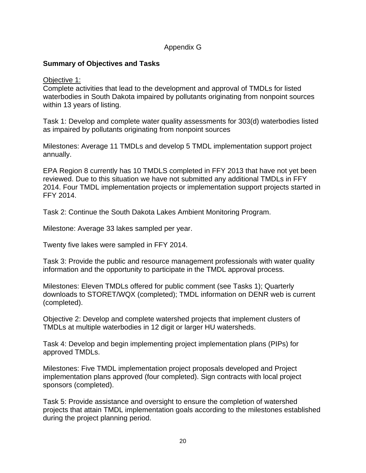#### Appendix G

## **Summary of Objectives and Tasks**

#### Objective 1:

Complete activities that lead to the development and approval of TMDLs for listed waterbodies in South Dakota impaired by pollutants originating from nonpoint sources within 13 years of listing.

Task 1: Develop and complete water quality assessments for 303(d) waterbodies listed as impaired by pollutants originating from nonpoint sources

Milestones: Average 11 TMDLs and develop 5 TMDL implementation support project annually.

EPA Region 8 currently has 10 TMDLS completed in FFY 2013 that have not yet been reviewed. Due to this situation we have not submitted any additional TMDLs in FFY 2014. Four TMDL implementation projects or implementation support projects started in FFY 2014.

Task 2: Continue the South Dakota Lakes Ambient Monitoring Program.

Milestone: Average 33 lakes sampled per year.

Twenty five lakes were sampled in FFY 2014.

Task 3: Provide the public and resource management professionals with water quality information and the opportunity to participate in the TMDL approval process.

Milestones: Eleven TMDLs offered for public comment (see Tasks 1); Quarterly downloads to STORET/WQX (completed); TMDL information on DENR web is current (completed).

Objective 2: Develop and complete watershed projects that implement clusters of TMDLs at multiple waterbodies in 12 digit or larger HU watersheds.

Task 4: Develop and begin implementing project implementation plans (PIPs) for approved TMDLs.

Milestones: Five TMDL implementation project proposals developed and Project implementation plans approved (four completed). Sign contracts with local project sponsors (completed).

Task 5: Provide assistance and oversight to ensure the completion of watershed projects that attain TMDL implementation goals according to the milestones established during the project planning period.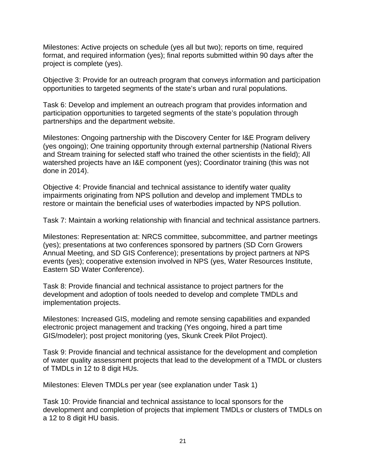Milestones: Active projects on schedule (yes all but two); reports on time, required format, and required information (yes); final reports submitted within 90 days after the project is complete (yes).

Objective 3: Provide for an outreach program that conveys information and participation opportunities to targeted segments of the state's urban and rural populations.

Task 6: Develop and implement an outreach program that provides information and participation opportunities to targeted segments of the state's population through partnerships and the department website.

Milestones: Ongoing partnership with the Discovery Center for I&E Program delivery (yes ongoing); One training opportunity through external partnership (National Rivers and Stream training for selected staff who trained the other scientists in the field); All watershed projects have an I&E component (yes); Coordinator training (this was not done in 2014).

Objective 4: Provide financial and technical assistance to identify water quality impairments originating from NPS pollution and develop and implement TMDLs to restore or maintain the beneficial uses of waterbodies impacted by NPS pollution.

Task 7: Maintain a working relationship with financial and technical assistance partners.

Milestones: Representation at: NRCS committee, subcommittee, and partner meetings (yes); presentations at two conferences sponsored by partners (SD Corn Growers Annual Meeting, and SD GIS Conference); presentations by project partners at NPS events (yes); cooperative extension involved in NPS (yes, Water Resources Institute, Eastern SD Water Conference).

Task 8: Provide financial and technical assistance to project partners for the development and adoption of tools needed to develop and complete TMDLs and implementation projects.

Milestones: Increased GIS, modeling and remote sensing capabilities and expanded electronic project management and tracking (Yes ongoing, hired a part time GIS/modeler); post project monitoring (yes, Skunk Creek Pilot Project).

Task 9: Provide financial and technical assistance for the development and completion of water quality assessment projects that lead to the development of a TMDL or clusters of TMDLs in 12 to 8 digit HUs.

Milestones: Eleven TMDLs per year (see explanation under Task 1)

Task 10: Provide financial and technical assistance to local sponsors for the development and completion of projects that implement TMDLs or clusters of TMDLs on a 12 to 8 digit HU basis.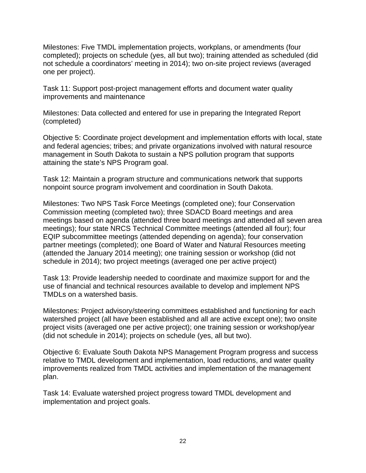Milestones: Five TMDL implementation projects, workplans, or amendments (four completed); projects on schedule (yes, all but two); training attended as scheduled (did not schedule a coordinators' meeting in 2014); two on-site project reviews (averaged one per project).

Task 11: Support post-project management efforts and document water quality improvements and maintenance

Milestones: Data collected and entered for use in preparing the Integrated Report (completed)

Objective 5: Coordinate project development and implementation efforts with local, state and federal agencies; tribes; and private organizations involved with natural resource management in South Dakota to sustain a NPS pollution program that supports attaining the state's NPS Program goal.

Task 12: Maintain a program structure and communications network that supports nonpoint source program involvement and coordination in South Dakota.

Milestones: Two NPS Task Force Meetings (completed one); four Conservation Commission meeting (completed two); three SDACD Board meetings and area meetings based on agenda (attended three board meetings and attended all seven area meetings); four state NRCS Technical Committee meetings (attended all four); four EQIP subcommittee meetings (attended depending on agenda); four conservation partner meetings (completed); one Board of Water and Natural Resources meeting (attended the January 2014 meeting); one training session or workshop (did not schedule in 2014); two project meetings (averaged one per active project)

Task 13: Provide leadership needed to coordinate and maximize support for and the use of financial and technical resources available to develop and implement NPS TMDLs on a watershed basis.

Milestones: Project advisory/steering committees established and functioning for each watershed project (all have been established and all are active except one); two onsite project visits (averaged one per active project); one training session or workshop/year (did not schedule in 2014); projects on schedule (yes, all but two).

Objective 6: Evaluate South Dakota NPS Management Program progress and success relative to TMDL development and implementation, load reductions, and water quality improvements realized from TMDL activities and implementation of the management plan.

Task 14: Evaluate watershed project progress toward TMDL development and implementation and project goals.